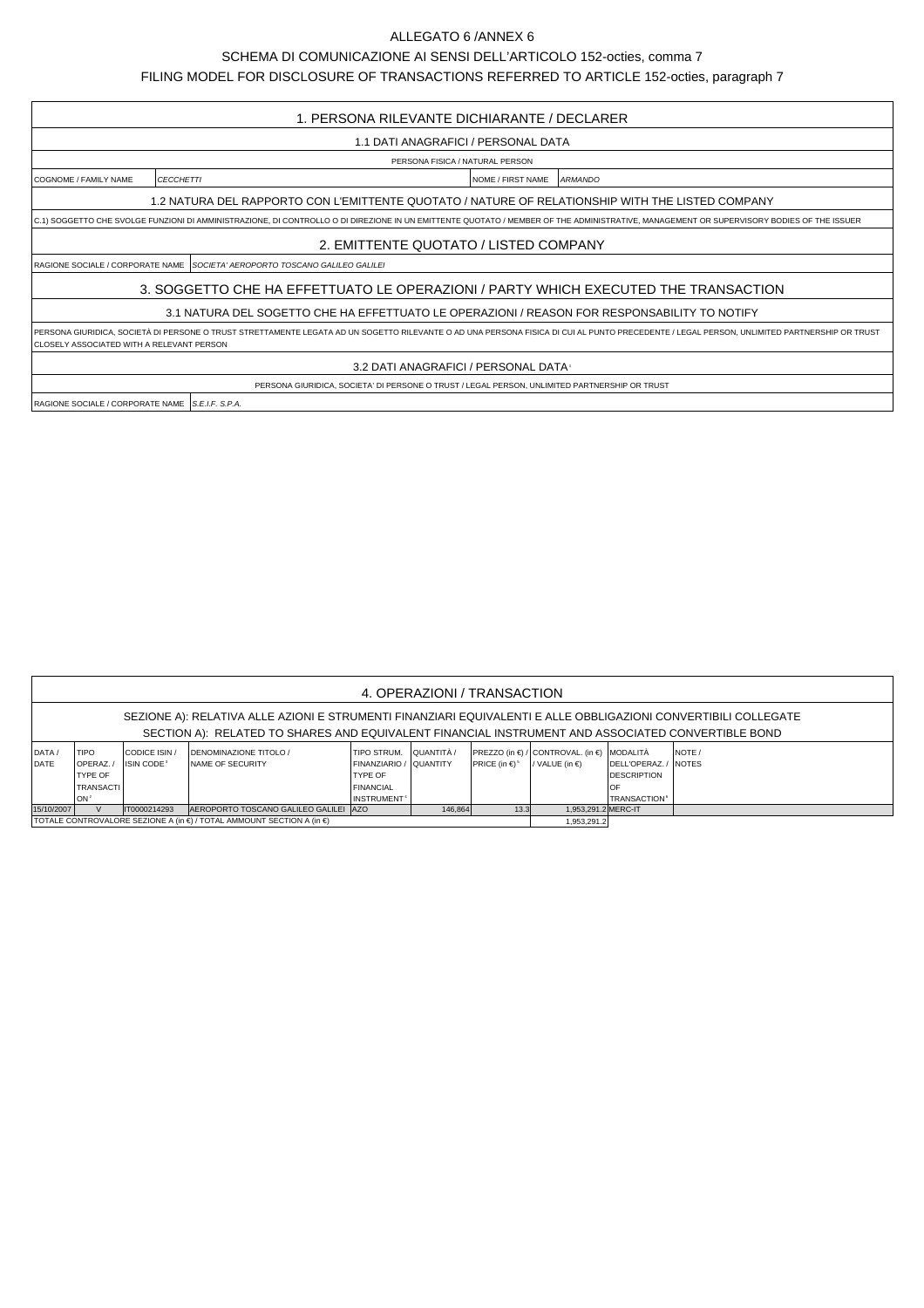## ALLEGATO 6 /ANNEX 6

SCHEMA DI COMUNICAZIONE AI SENSI DELL'ARTICOLO 152-octies, comma 7

FILING MODEL FOR DISCLOSURE OF TRANSACTIONS REFERRED TO ARTICLE 152-octies, paragraph 7

| 1. PERSONA RILEVANTE DICHIARANTE / DECLARER                                                                                                                                              |                                                                                               |                                     |                                                                                                                                                                                             |  |  |  |  |  |  |  |
|------------------------------------------------------------------------------------------------------------------------------------------------------------------------------------------|-----------------------------------------------------------------------------------------------|-------------------------------------|---------------------------------------------------------------------------------------------------------------------------------------------------------------------------------------------|--|--|--|--|--|--|--|
| 1.1 DATI ANAGRAFICI / PERSONAL DATA                                                                                                                                                      |                                                                                               |                                     |                                                                                                                                                                                             |  |  |  |  |  |  |  |
| PERSONA FISICA / NATURAL PERSON                                                                                                                                                          |                                                                                               |                                     |                                                                                                                                                                                             |  |  |  |  |  |  |  |
| COGNOME / FAMILY NAME                                                                                                                                                                    | <b>CECCHETTI</b>                                                                              | NOME / FIRST NAME                   | <b>ARMANDO</b>                                                                                                                                                                              |  |  |  |  |  |  |  |
| 1.2 NATURA DEL RAPPORTO CON L'EMITTENTE QUOTATO / NATURE OF RELATIONSHIP WITH THE LISTED COMPANY                                                                                         |                                                                                               |                                     |                                                                                                                                                                                             |  |  |  |  |  |  |  |
| C.1) SOGGETTO CHE SVOLGE FUNZIONI DI AMMINISTRAZIONE, DI CONTROLLO O DI DIREZIONE IN UN EMITTENTE QUOTATO / MEMBER OF THE ADMINISTRATIVE, MANAGEMENT OR SUPERVISORY BODIES OF THE ISSUER |                                                                                               |                                     |                                                                                                                                                                                             |  |  |  |  |  |  |  |
| 2. EMITTENTE QUOTATO / LISTED COMPANY                                                                                                                                                    |                                                                                               |                                     |                                                                                                                                                                                             |  |  |  |  |  |  |  |
|                                                                                                                                                                                          | IRAGIONE SOCIALE / CORPORATE NAME ISO <i>CIETA' AEROPORTO TOSCANO GALILEO GALILEI</i>         |                                     |                                                                                                                                                                                             |  |  |  |  |  |  |  |
| 3. SOGGETTO CHE HA EFFETTUATO LE OPERAZIONI / PARTY WHICH EXECUTED THE TRANSACTION                                                                                                       |                                                                                               |                                     |                                                                                                                                                                                             |  |  |  |  |  |  |  |
| 3.1 NATURA DEL SOGETTO CHE HA EFFETTUATO LE OPERAZIONI / REASON FOR RESPONSABILITY TO NOTIFY                                                                                             |                                                                                               |                                     |                                                                                                                                                                                             |  |  |  |  |  |  |  |
| CLOSELY ASSOCIATED WITH A RELEVANT PERSON                                                                                                                                                |                                                                                               |                                     | PERSONA GIURIDICA, SOCIETÀ DI PERSONE O TRUST STRETTAMENTE LEGATA AD UN SOGETTO RILEVANTE O AD UNA PERSONA FISICA DI CUI AL PUNTO PRECEDENTE / LEGAL PERSON, UNLIMITED PARTNERSHIP OR TRUST |  |  |  |  |  |  |  |
|                                                                                                                                                                                          |                                                                                               | 3.2 DATI ANAGRAFICI / PERSONAL DATA |                                                                                                                                                                                             |  |  |  |  |  |  |  |
|                                                                                                                                                                                          | PERSONA GIURIDICA, SOCIETA' DI PERSONE O TRUST / LEGAL PERSON, UNLIMITED PARTNERSHIP OR TRUST |                                     |                                                                                                                                                                                             |  |  |  |  |  |  |  |
| RAGIONE SOCIALE / CORPORATE NAME   S.E.I.F. S.P.A.                                                                                                                                       |                                                                                               |                                     |                                                                                                                                                                                             |  |  |  |  |  |  |  |

| 4. OPERAZIONI / TRANSACTION                                                                                                                                                                                         |                                                                           |                                         |                                                                                                                |                                                                                                                       |         |                                       |                                                                        |                                                                               |         |  |  |
|---------------------------------------------------------------------------------------------------------------------------------------------------------------------------------------------------------------------|---------------------------------------------------------------------------|-----------------------------------------|----------------------------------------------------------------------------------------------------------------|-----------------------------------------------------------------------------------------------------------------------|---------|---------------------------------------|------------------------------------------------------------------------|-------------------------------------------------------------------------------|---------|--|--|
| SEZIONE A): RELATIVA ALLE AZIONI E STRUMENTI FINANZIARI EQUIVALENTI E ALLE OBBLIGAZIONI CONVERTIBILI COLLEGATE<br>SECTION A): RELATED TO SHARES AND EQUIVALENT FINANCIAL INSTRUMENT AND ASSOCIATED CONVERTIBLE BOND |                                                                           |                                         |                                                                                                                |                                                                                                                       |         |                                       |                                                                        |                                                                               |         |  |  |
| DATA /<br>DATE                                                                                                                                                                                                      | <b>TIPO</b><br>OPERAZ /<br>TYPE OF<br><b>TRANSACTI</b><br>ON <sup>2</sup> | CODICE ISIN /<br>ISIN CODE <sup>3</sup> | <b>IDENOMINAZIONE TITOLO /</b><br><b>INAME OF SECURITY</b>                                                     | I TIPO STRUM. I QUANTITÀ /<br>FINANZIARIO / QUANTITY<br><b>TYPE OF</b><br><b>FINANCIAL</b><br>INSTRUMENT <sup>+</sup> |         | <b>PRICE</b> (in $\in$ ) <sup>5</sup> | PREZZO (in €) / CONTROVAL. (in €) MODALITÀ<br>/ VALUE (in $\epsilon$ ) | DELL'OPERAZ. / NOTES<br><b>DESCRIPTION</b><br><b>TRANSACTION</b> <sup>6</sup> | INOTE / |  |  |
| 15/10/2007                                                                                                                                                                                                          |                                                                           | IT0000214293                            | AEROPORTO TOSCANO GALILEO GALILEI AZO<br>TOTALE CONTROVALORE SEZIONE A (in €) / TOTAL AMMOUNT SECTION A (in €) |                                                                                                                       | 146,864 | 13.3                                  | 1.953.291.2 MERC-IT<br>1,953,291.2                                     |                                                                               |         |  |  |